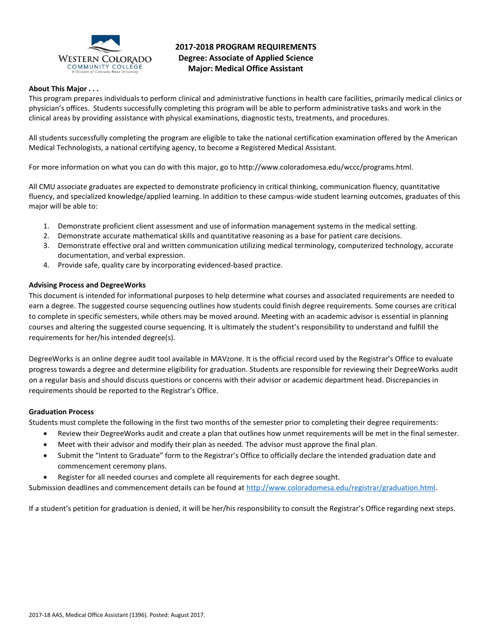

# **2017-2018 PROGRAM REQUIREMENTS Degree: Associate of Applied Science Major: Medical Office Assistant**

# **About This Major . . .**

This program prepares individuals to perform clinical and administrative functions in health care facilities, primarily medical clinics or physician's offices. Students successfully completing this program will be able to perform administrative tasks and work in the clinical areas by providing assistance with physical examinations, diagnostic tests, treatments, and procedures.

All students successfully completing the program are eligible to take the national certification examination offered by the American Medical Technologists, a national certifying agency, to become a Registered Medical Assistant.

For more information on what you can do with this major, go to http://www.coloradomesa.edu/wccc/programs.html.

All CMU associate graduates are expected to demonstrate proficiency in critical thinking, communication fluency, quantitative fluency, and specialized knowledge/applied learning. In addition to these campus-wide student learning outcomes, graduates of this major will be able to:

- 1. Demonstrate proficient client assessment and use of information management systems in the medical setting.
- 2. Demonstrate accurate mathematical skills and quantitative reasoning as a base for patient care decisions.
- 3. Demonstrate effective oral and written communication utilizing medical terminology, computerized technology, accurate documentation, and verbal expression.
- 4. Provide safe, quality care by incorporating evidenced-based practice.

## **Advising Process and DegreeWorks**

This document is intended for informational purposes to help determine what courses and associated requirements are needed to earn a degree. The suggested course sequencing outlines how students could finish degree requirements. Some courses are critical to complete in specific semesters, while others may be moved around. Meeting with an academic advisor is essential in planning courses and altering the suggested course sequencing. It is ultimately the student's responsibility to understand and fulfill the requirements for her/his intended degree(s).

DegreeWorks is an online degree audit tool available in MAVzone. It is the official record used by the Registrar's Office to evaluate progress towards a degree and determine eligibility for graduation. Students are responsible for reviewing their DegreeWorks audit on a regular basis and should discuss questions or concerns with their advisor or academic department head. Discrepancies in requirements should be reported to the Registrar's Office.

### **Graduation Process**

Students must complete the following in the first two months of the semester prior to completing their degree requirements:

- Review their DegreeWorks audit and create a plan that outlines how unmet requirements will be met in the final semester.
- Meet with their advisor and modify their plan as needed. The advisor must approve the final plan.
- Submit the "Intent to Graduate" form to the Registrar's Office to officially declare the intended graduation date and commencement ceremony plans.
- Register for all needed courses and complete all requirements for each degree sought.

Submission deadlines and commencement details can be found at [http://www.coloradomesa.edu/registrar/graduation.html.](http://www.coloradomesa.edu/registrar/graduation.html)

If a student's petition for graduation is denied, it will be her/his responsibility to consult the Registrar's Office regarding next steps.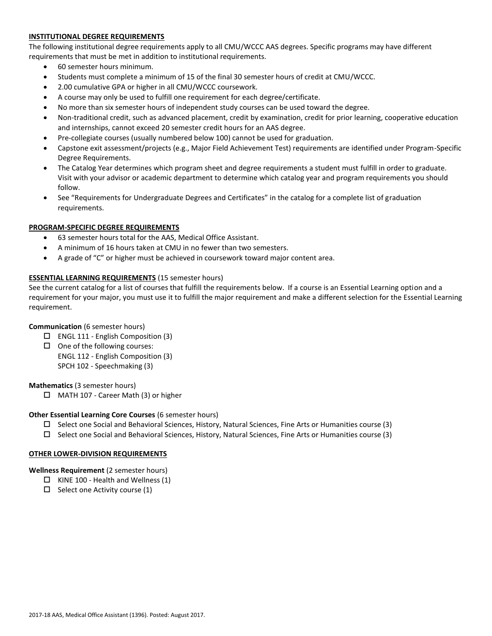# **INSTITUTIONAL DEGREE REQUIREMENTS**

The following institutional degree requirements apply to all CMU/WCCC AAS degrees. Specific programs may have different requirements that must be met in addition to institutional requirements.

- 60 semester hours minimum.
- Students must complete a minimum of 15 of the final 30 semester hours of credit at CMU/WCCC.
- 2.00 cumulative GPA or higher in all CMU/WCCC coursework.
- A course may only be used to fulfill one requirement for each degree/certificate.
- No more than six semester hours of independent study courses can be used toward the degree.
- Non-traditional credit, such as advanced placement, credit by examination, credit for prior learning, cooperative education and internships, cannot exceed 20 semester credit hours for an AAS degree.
- Pre-collegiate courses (usually numbered below 100) cannot be used for graduation.
- Capstone exit assessment/projects (e.g., Major Field Achievement Test) requirements are identified under Program-Specific Degree Requirements.
- The Catalog Year determines which program sheet and degree requirements a student must fulfill in order to graduate. Visit with your advisor or academic department to determine which catalog year and program requirements you should follow.
- See "Requirements for Undergraduate Degrees and Certificates" in the catalog for a complete list of graduation requirements.

# **PROGRAM-SPECIFIC DEGREE REQUIREMENTS**

- 63 semester hours total for the AAS, Medical Office Assistant.
- A minimum of 16 hours taken at CMU in no fewer than two semesters.
- A grade of "C" or higher must be achieved in coursework toward major content area.

## **ESSENTIAL LEARNING REQUIREMENTS** (15 semester hours)

See the current catalog for a list of courses that fulfill the requirements below. If a course is an Essential Learning option and a requirement for your major, you must use it to fulfill the major requirement and make a different selection for the Essential Learning requirement.

### **Communication** (6 semester hours)

- $\Box$  ENGL 111 English Composition (3)
- $\Box$  One of the following courses: ENGL 112 - English Composition (3) SPCH 102 - Speechmaking (3)

### **Mathematics** (3 semester hours)

□ MATH 107 - Career Math (3) or higher

# **Other Essential Learning Core Courses** (6 semester hours)

- $\square$  Select one Social and Behavioral Sciences, History, Natural Sciences, Fine Arts or Humanities course (3)
- $\square$  Select one Social and Behavioral Sciences, History, Natural Sciences, Fine Arts or Humanities course (3)

# **OTHER LOWER-DIVISION REQUIREMENTS**

**Wellness Requirement** (2 semester hours)

- $\Box$  KINE 100 Health and Wellness (1)
- $\Box$  Select one Activity course (1)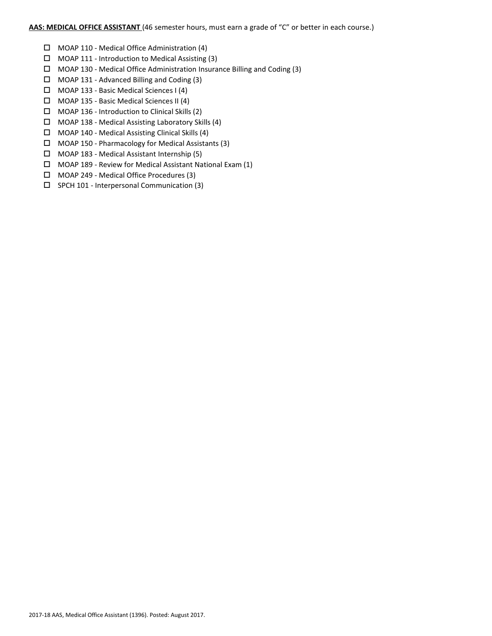# **AAS: MEDICAL OFFICE ASSISTANT** (46 semester hours, must earn a grade of "C" or better in each course.)

- MOAP 110 Medical Office Administration (4)
- $\Box$  MOAP 111 Introduction to Medical Assisting (3)
- MOAP 130 Medical Office Administration Insurance Billing and Coding (3)
- MOAP 131 Advanced Billing and Coding (3)
- MOAP 133 Basic Medical Sciences I (4)
- MOAP 135 Basic Medical Sciences II (4)
- $\Box$  MOAP 136 Introduction to Clinical Skills (2)
- $\Box$  MOAP 138 Medical Assisting Laboratory Skills (4)
- $\Box$  MOAP 140 Medical Assisting Clinical Skills (4)
- $\Box$  MOAP 150 Pharmacology for Medical Assistants (3)
- MOAP 183 Medical Assistant Internship (5)
- MOAP 189 Review for Medical Assistant National Exam (1)
- MOAP 249 Medical Office Procedures (3)
- $\square$  SPCH 101 Interpersonal Communication (3)